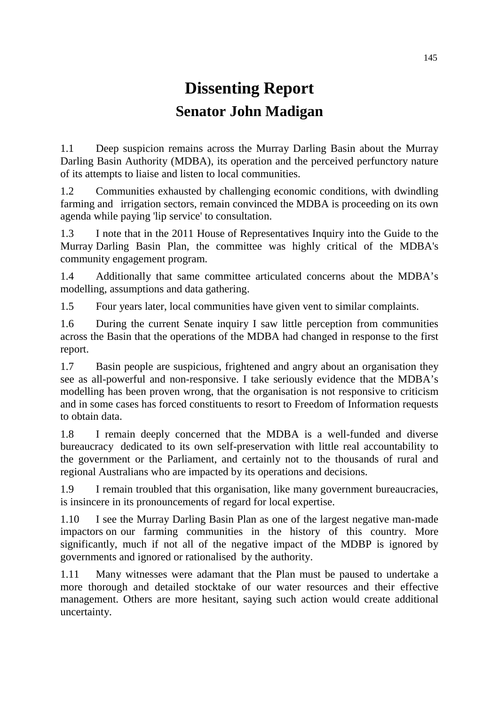# **Dissenting Report Senator John Madigan**

1.1 Deep suspicion remains across the Murray Darling Basin about the Murray Darling Basin Authority (MDBA), its operation and the perceived perfunctory nature of its attempts to liaise and listen to local communities.

1.2 Communities exhausted by challenging economic conditions, with dwindling farming and irrigation sectors, remain convinced the MDBA is proceeding on its own agenda while paying 'lip service' to consultation.

1.3 I note that in the 2011 House of Representatives Inquiry into the Guide to the Murray Darling Basin Plan, the committee was highly critical of the MDBA's community engagement program.

1.4 Additionally that same committee articulated concerns about the MDBA's modelling, assumptions and data gathering.

1.5 Four years later, local communities have given vent to similar complaints.

1.6 During the current Senate inquiry I saw little perception from communities across the Basin that the operations of the MDBA had changed in response to the first report.

1.7 Basin people are suspicious, frightened and angry about an organisation they see as all-powerful and non-responsive. I take seriously evidence that the MDBA's modelling has been proven wrong, that the organisation is not responsive to criticism and in some cases has forced constituents to resort to Freedom of Information requests to obtain data.

1.8 I remain deeply concerned that the MDBA is a well-funded and diverse bureaucracy dedicated to its own self-preservation with little real accountability to the government or the Parliament, and certainly not to the thousands of rural and regional Australians who are impacted by its operations and decisions.

1.9 I remain troubled that this organisation, like many government bureaucracies, is insincere in its pronouncements of regard for local expertise.

1.10 I see the Murray Darling Basin Plan as one of the largest negative man-made impactors on our farming communities in the history of this country. More significantly, much if not all of the negative impact of the MDBP is ignored by governments and ignored or rationalised by the authority.

1.11 Many witnesses were adamant that the Plan must be paused to undertake a more thorough and detailed stocktake of our water resources and their effective management. Others are more hesitant, saying such action would create additional uncertainty.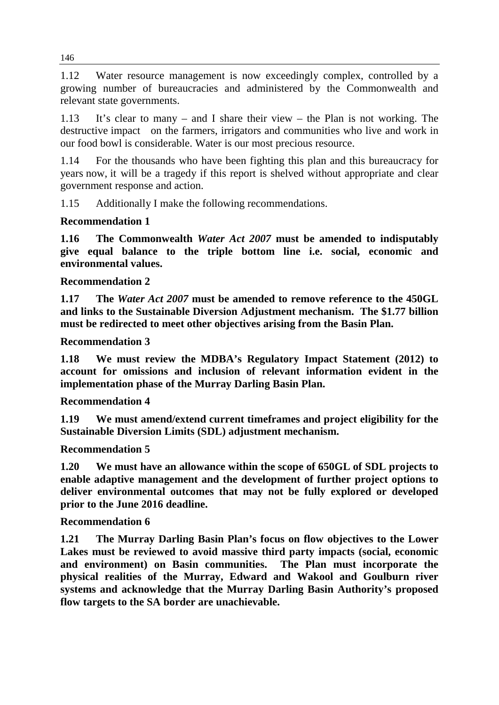1.12 Water resource management is now exceedingly complex, controlled by a growing number of bureaucracies and administered by the Commonwealth and relevant state governments.

1.13 It's clear to many – and I share their view – the Plan is not working. The destructive impact on the farmers, irrigators and communities who live and work in our food bowl is considerable. Water is our most precious resource.

1.14 For the thousands who have been fighting this plan and this bureaucracy for years now, it will be a tragedy if this report is shelved without appropriate and clear government response and action.

1.15 Additionally I make the following recommendations.

## **Recommendation 1**

**1.16 The Commonwealth** *Water Act 2007* **must be amended to indisputably give equal balance to the triple bottom line i.e. social, economic and environmental values.**

**Recommendation 2**

**1.17 The** *Water Act 2007* **must be amended to remove reference to the 450GL and links to the Sustainable Diversion Adjustment mechanism. The \$1.77 billion must be redirected to meet other objectives arising from the Basin Plan.**

**Recommendation 3**

**1.18 We must review the MDBA's Regulatory Impact Statement (2012) to account for omissions and inclusion of relevant information evident in the implementation phase of the Murray Darling Basin Plan.**

### **Recommendation 4**

**1.19 We must amend/extend current timeframes and project eligibility for the Sustainable Diversion Limits (SDL) adjustment mechanism.**

**Recommendation 5**

**1.20 We must have an allowance within the scope of 650GL of SDL projects to enable adaptive management and the development of further project options to deliver environmental outcomes that may not be fully explored or developed prior to the June 2016 deadline.**

### **Recommendation 6**

**1.21 The Murray Darling Basin Plan's focus on flow objectives to the Lower Lakes must be reviewed to avoid massive third party impacts (social, economic and environment) on Basin communities. The Plan must incorporate the physical realities of the Murray, Edward and Wakool and Goulburn river systems and acknowledge that the Murray Darling Basin Authority's proposed flow targets to the SA border are unachievable.**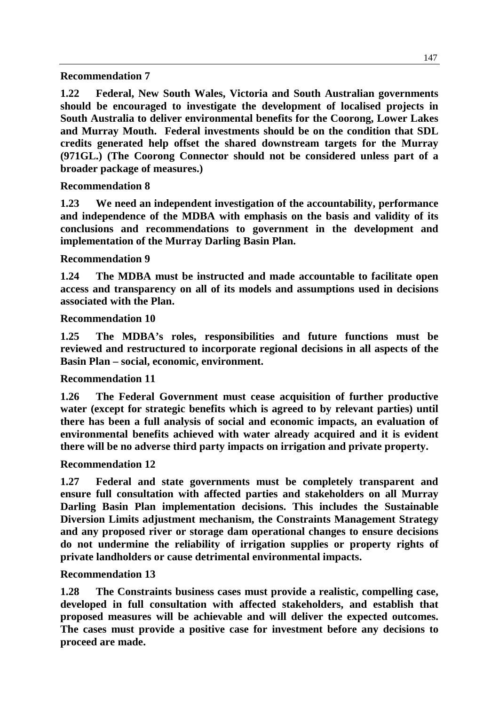**Recommendation 7**

**1.22 Federal, New South Wales, Victoria and South Australian governments should be encouraged to investigate the development of localised projects in South Australia to deliver environmental benefits for the Coorong, Lower Lakes and Murray Mouth. Federal investments should be on the condition that SDL credits generated help offset the shared downstream targets for the Murray (971GL.) (The Coorong Connector should not be considered unless part of a broader package of measures.)**

**Recommendation 8**

**1.23 We need an independent investigation of the accountability, performance and independence of the MDBA with emphasis on the basis and validity of its conclusions and recommendations to government in the development and implementation of the Murray Darling Basin Plan.** 

**Recommendation 9**

**1.24 The MDBA must be instructed and made accountable to facilitate open access and transparency on all of its models and assumptions used in decisions associated with the Plan.**

**Recommendation 10**

**1.25 The MDBA's roles, responsibilities and future functions must be reviewed and restructured to incorporate regional decisions in all aspects of the Basin Plan – social, economic, environment.** 

**Recommendation 11**

**1.26 The Federal Government must cease acquisition of further productive water (except for strategic benefits which is agreed to by relevant parties) until there has been a full analysis of social and economic impacts, an evaluation of environmental benefits achieved with water already acquired and it is evident there will be no adverse third party impacts on irrigation and private property.** 

**Recommendation 12**

**1.27 Federal and state governments must be completely transparent and ensure full consultation with affected parties and stakeholders on all Murray Darling Basin Plan implementation decisions. This includes the Sustainable Diversion Limits adjustment mechanism, the Constraints Management Strategy and any proposed river or storage dam operational changes to ensure decisions do not undermine the reliability of irrigation supplies or property rights of private landholders or cause detrimental environmental impacts.**

**Recommendation 13**

**1.28 The Constraints business cases must provide a realistic, compelling case, developed in full consultation with affected stakeholders, and establish that proposed measures will be achievable and will deliver the expected outcomes. The cases must provide a positive case for investment before any decisions to proceed are made.**